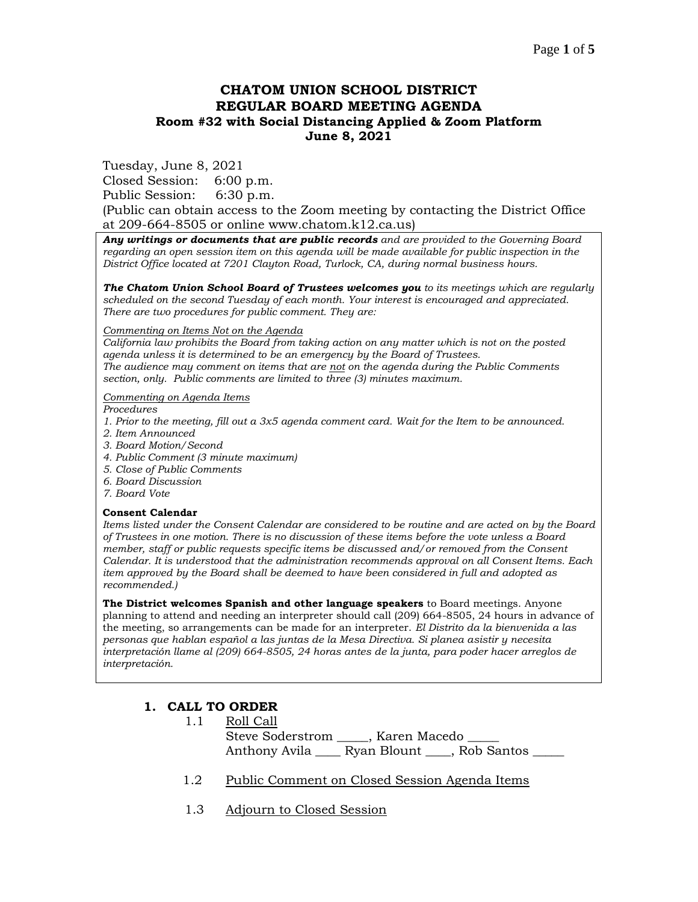# **CHATOM UNION SCHOOL DISTRICT REGULAR BOARD MEETING AGENDA Room #32 with Social Distancing Applied & Zoom Platform June 8, 2021**

Tuesday, June 8, 2021

Closed Session: 6:00 p.m.

Public Session: 6:30 p.m.

(Public can obtain access to the Zoom meeting by contacting the District Office at 209-664-8505 or online www.chatom.k12.ca.us)

*Any writings or documents that are public records and are provided to the Governing Board regarding an open session item on this agenda will be made available for public inspection in the District Office located at 7201 Clayton Road, Turlock, CA, during normal business hours.*

*The Chatom Union School Board of Trustees welcomes you to its meetings which are regularly scheduled on the second Tuesday of each month. Your interest is encouraged and appreciated. There are two procedures for public comment. They are:*

#### *Commenting on Items Not on the Agenda*

*California law prohibits the Board from taking action on any matter which is not on the posted agenda unless it is determined to be an emergency by the Board of Trustees. The audience may comment on items that are not on the agenda during the Public Comments section, only. Public comments are limited to three (3) minutes maximum.*

#### *Commenting on Agenda Items*

*Procedures* 

- *1. Prior to the meeting, fill out a 3x5 agenda comment card. Wait for the Item to be announced.*
- *2. Item Announced*
- *3. Board Motion/Second*
- *4. Public Comment (3 minute maximum)*
- *5. Close of Public Comments*
- *6. Board Discussion*
- *7. Board Vote*

#### **Consent Calendar**

*Items listed under the Consent Calendar are considered to be routine and are acted on by the Board of Trustees in one motion. There is no discussion of these items before the vote unless a Board member, staff or public requests specific items be discussed and/or removed from the Consent Calendar. It is understood that the administration recommends approval on all Consent Items. Each item approved by the Board shall be deemed to have been considered in full and adopted as recommended.)*

**The District welcomes Spanish and other language speakers** to Board meetings. Anyone planning to attend and needing an interpreter should call (209) 664-8505, 24 hours in advance of the meeting, so arrangements can be made for an interpreter. *El Distrito da la bienvenida a las personas que hablan español a las juntas de la Mesa Directiva. Si planea asistir y necesita interpretación llame al (209) 664-8505, 24 horas antes de la junta, para poder hacer arreglos de interpretación.*

### **1. CALL TO ORDER**

- 1.1 Roll Call Steve Soderstrom \_\_\_\_\_, Karen Macedo \_\_\_\_\_ Anthony Avila \_\_\_\_ Ryan Blount \_\_\_\_, Rob Santos
- 1.2 Public Comment on Closed Session Agenda Items
- 1.3 Adjourn to Closed Session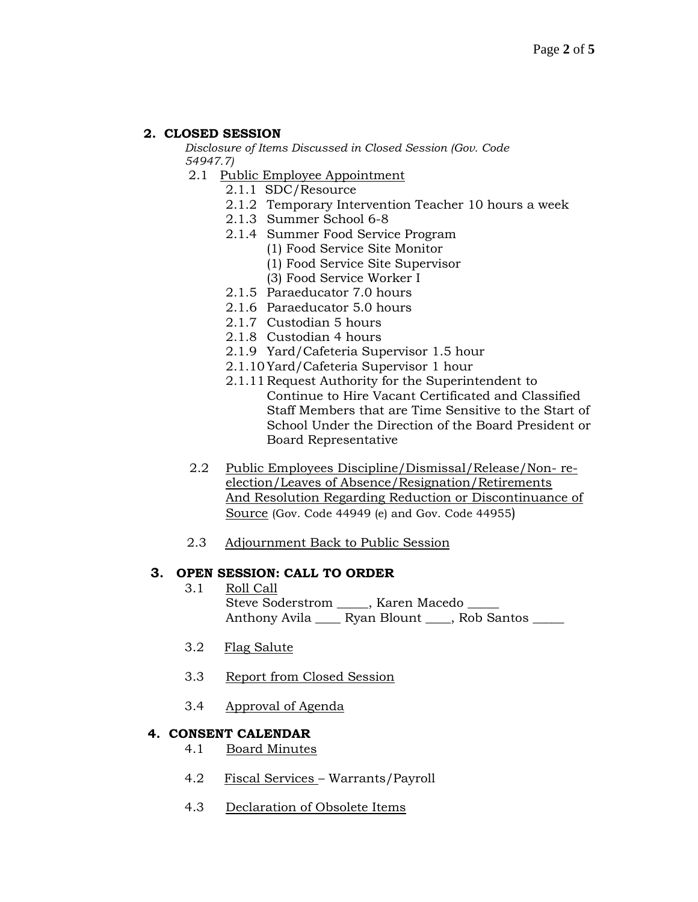# **2. CLOSED SESSION**

*Disclosure of Items Discussed in Closed Session (Gov. Code 54947.7)*

- 2.1 Public Employee Appointment
	- 2.1.1 SDC/Resource
	- 2.1.2 Temporary Intervention Teacher 10 hours a week
	- 2.1.3 Summer School 6-8
	- 2.1.4 Summer Food Service Program
		- (1) Food Service Site Monitor
		- (1) Food Service Site Supervisor
		- (3) Food Service Worker I
	- 2.1.5 Paraeducator 7.0 hours
	- 2.1.6 Paraeducator 5.0 hours
	- 2.1.7 Custodian 5 hours
	- 2.1.8 Custodian 4 hours
	- 2.1.9 Yard/Cafeteria Supervisor 1.5 hour
	- 2.1.10Yard/Cafeteria Supervisor 1 hour
	- 2.1.11 Request Authority for the Superintendent to Continue to Hire Vacant Certificated and Classified Staff Members that are Time Sensitive to the Start of School Under the Direction of the Board President or Board Representative
- 2.2 Public Employees Discipline/Dismissal/Release/Non- reelection/Leaves of Absence/Resignation/Retirements And Resolution Regarding Reduction or Discontinuance of Source (Gov. Code 44949 (e) and Gov. Code 44955)
- 2.3 Adjournment Back to Public Session

### **3. OPEN SESSION: CALL TO ORDER**

- 3.1 Roll Call Steve Soderstrom \_\_\_\_\_, Karen Macedo Anthony Avila \_\_\_\_ Ryan Blount \_\_\_, Rob Santos \_\_\_\_
- 3.2 Flag Salute
- 3.3 Report from Closed Session
- 3.4 Approval of Agenda

## **4. CONSENT CALENDAR**

- 4.1 Board Minutes
- 4.2 Fiscal Services Warrants/Payroll
- 4.3 Declaration of Obsolete Items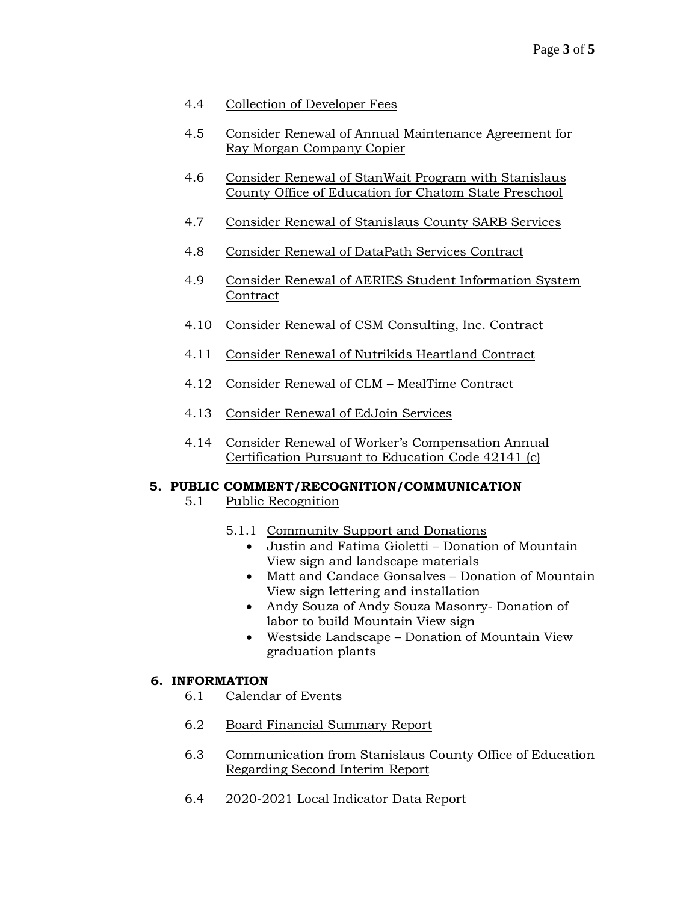# 4.4 Collection of Developer Fees

- 4.5 Consider Renewal of Annual Maintenance Agreement for Ray Morgan Company Copier
- 4.6 Consider Renewal of StanWait Program with Stanislaus County Office of Education for Chatom State Preschool
- 4.7 Consider Renewal of Stanislaus County SARB Services
- 4.8 Consider Renewal of DataPath Services Contract
- 4.9 Consider Renewal of AERIES Student Information System Contract
- 4.10 Consider Renewal of CSM Consulting, Inc. Contract
- 4.11 Consider Renewal of Nutrikids Heartland Contract
- 4.12 Consider Renewal of CLM MealTime Contract
- 4.13 Consider Renewal of EdJoin Services
- 4.14 Consider Renewal of Worker's Compensation Annual Certification Pursuant to Education Code 42141 (c)

### **5. PUBLIC COMMENT/RECOGNITION/COMMUNICATION**

- 5.1 Public Recognition
	- 5.1.1 Community Support and Donations
		- Justin and Fatima Gioletti Donation of Mountain View sign and landscape materials
		- Matt and Candace Gonsalves Donation of Mountain View sign lettering and installation
		- Andy Souza of Andy Souza Masonry- Donation of labor to build Mountain View sign
		- Westside Landscape Donation of Mountain View graduation plants

### **6. INFORMATION**

- 6.1 Calendar of Events
- 6.2 Board Financial Summary Report
- 6.3 Communication from Stanislaus County Office of Education Regarding Second Interim Report
- 6.4 2020-2021 Local Indicator Data Report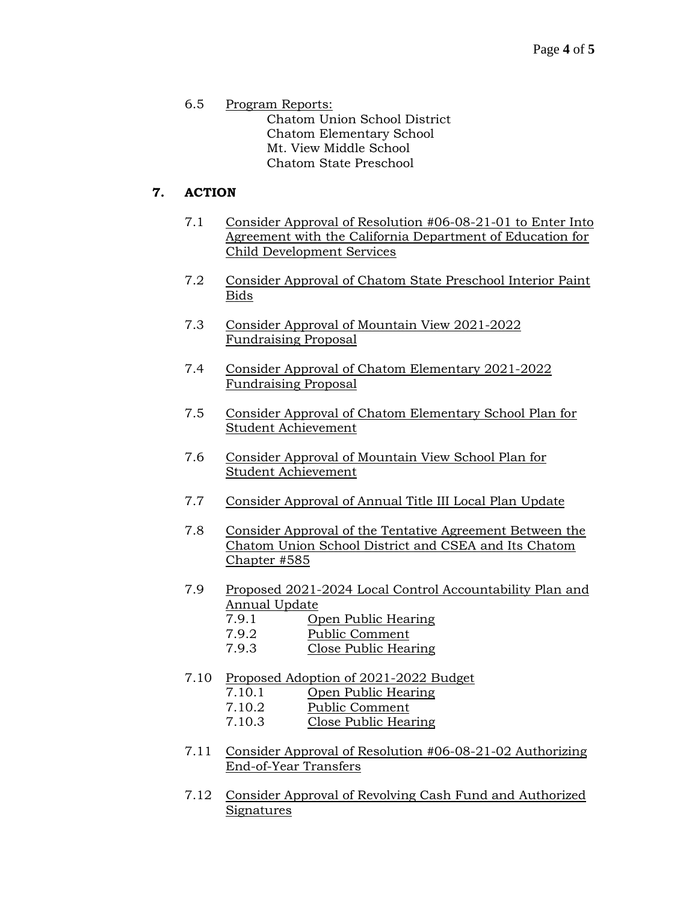6.5 Program Reports: Chatom Union School District Chatom Elementary School Mt. View Middle School Chatom State Preschool

# **7. ACTION**

- 7.1 Consider Approval of Resolution #06-08-21-01 to Enter Into Agreement with the California Department of Education for Child Development Services
- 7.2 Consider Approval of Chatom State Preschool Interior Paint Bids
- 7.3 Consider Approval of Mountain View 2021-2022 Fundraising Proposal
- 7.4 Consider Approval of Chatom Elementary 2021-2022 Fundraising Proposal
- 7.5 Consider Approval of Chatom Elementary School Plan for Student Achievement
- 7.6 Consider Approval of Mountain View School Plan for Student Achievement
- 7.7 Consider Approval of Annual Title III Local Plan Update
- 7.8 Consider Approval of the Tentative Agreement Between the Chatom Union School District and CSEA and Its Chatom Chapter #585
- 7.9 Proposed 2021-2024 Local Control Accountability Plan and Annual Update
	- 7.9.1 Open Public Hearing
	- 7.9.2 Public Comment
	- 7.9.3 Close Public Hearing
- 7.10 Proposed Adoption of 2021-2022 Budget
	- 7.10.1 Open Public Hearing
	- 7.10.2 Public Comment
	- 7.10.3 Close Public Hearing
- 7.11 Consider Approval of Resolution #06-08-21-02 Authorizing End-of-Year Transfers
- 7.12 Consider Approval of Revolving Cash Fund and Authorized Signatures